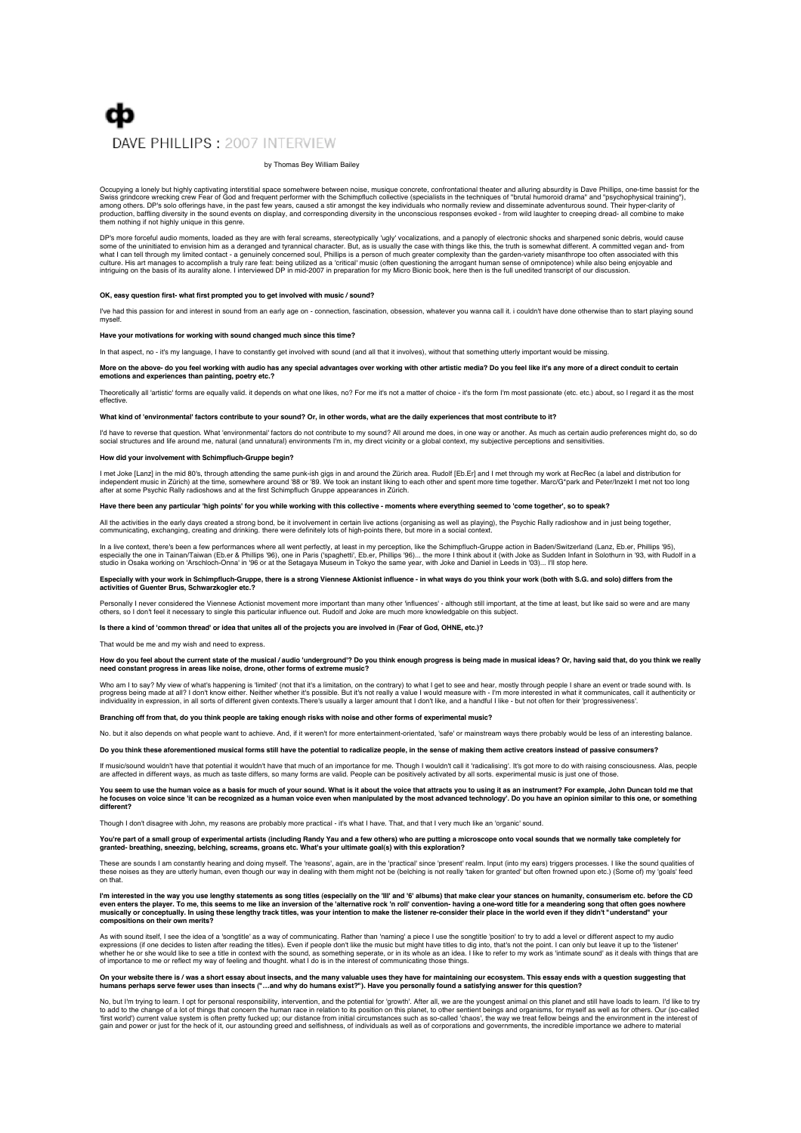# cb DAVE PHILLIPS : 2007 INTERVIEW

#### by Thomas Bey William Bailey

Occupying a lonely but highly captivating interstitial space somehwere between noise, musique concrete, confrontational theater and alluring absurdity is Dave Phillips, one-time bassist for the<br>Swiss grindcore wrecking cre production, baffling diversity in the sound events on display, and corresponding diversity in the unconscious responses evoked - from wild laughter to creeping dread- all combine to make them nothing if not highly unique in this genre.

DP's more forceful audio moments, loaded as they are with feral screams, stereotypically 'ugly' vocalizations, and a panoply of electronic shocks and sharpened sonic debris, would cause some of the uninitiated to envision him as a deranged and tyrannical character. But, as is usually the case with things like this, the truth is somewhat different. A committed vegan and- from what I can tell through my limited contact - a genuinely concerned soul, Phillips is a person of much greater complexity than the garden-variety misanthrope too often associated with this<br>culture. His art manages to accomp

#### OK, easy question first- what first prompted you to get involved with music / sound

I've had this passion for and interest in sound from an early age on - connection, fascination, obsession, whatever you wanna call it. i couldn't have done otherwise than to start playing sound myself.

### **Have your motivations for working with sound changed much since this time?**

In that aspect, no - it's my language, I have to constantly get involved with sound (and all that it involves), without that something utterly important would be missing.

#### More on the above- do you feel working with audio has any special advantages over working with other artistic media? Do you feel like it's any more of a direct conduit to certain **emotions and experiences than painting, poetry etc.?**

Theoretically all 'artistic' forms are equally valid. it depends on what one likes, no? For me it's not a matter of choice - it's the form I'm most passionate (etc. etc.) about, so I regard it as the most effective.

#### **What kind of 'environmental' factors contribute to your sound? Or, in other words, what are the daily experiences that most contribute to it?**

I'd have to reverse that question. What 'environmental' factors do not contribute to my sound? All around me does, in one way or another. As much as certain audio preferences might do, so do<br>social structures and life arou

#### **How did your involvement with Schimpfluch-Gruppe begin?**

l met Joke [Lanz] in the mid 80's, through attending the same punk-ish gigs in and around the Zürich area. Rudolf [Eb.Er] and I met through my work at RecRec (a label and distribution for<br>independent music in Zürich) at th

### **Have there been any particular 'high points' for you while working with this collective - moments where everything seemed to 'come together', so to speak?**

All the activities in the early days created a strong bond, be it involvement in certain live actions (organising as well as playing), the Psychic Rally radioshow and in just being together, communicating, exchanging, creating and drinking, there were definitely lots of high-points there, but more in a social context.

In a live context, there's been a few performances where all went perfectly, at least in my perception, like the Schimpfluch-Gruppe action in Baden/Switzerland (Lanz, Eb.er, Phillips '95),<br>especially the one in Tainan/Tai

# Especially with your work in Schimpfluch-Gruppe, there is a strong Viennese Aktionist influence - in what ways do you think your work (both with S.G. and solo) differs from the<br>activities of Guenter Brus, Schwarzkogler etc

Personally I never considered the Viennese Actionist movement more important than many other 'influences' - although still important, at the time at least, but like said so were and are many<br>others, so I don't feel it nece

**Is there a kind of 'common thread' or idea that unites all of the projects you are involved in (Fear of God, OHNE, etc.)?**

That would be me and my wish and need to express.

# How do you feel about the current state of the musical / audio 'underground'? Do you think enough progress is being made in musical ideas? Or, having said that, do you think we really<br>need constant progress in areas like n

Who am I to say? My view of what's happening is 'limited' (not that it's a limitation, on the contrary) to what I get to see and hear, mostly through people I share an event or trade sound with. Is<br>progress being made at a individuality in expression, in all sorts of different given contexts.There's usually a larger amount that I don't like, and a handful I like - but not often for their 'progressiveness'.

**Branching off from that, do you think people are taking enough risks with noise and other forms of experimental music?**

No. but it also depends on what people want to achieve. And, if it weren't for more entertainment-orientated, 'safe' or mainstream ways there probably would be less of an interesting balance.

**Do you think these aforementioned musical forms still have the potential to radicalize people, in the sense of making them active creators instead of passive consumers?**

If music/sound wouldn't have that potential it wouldn't have that much of an importance for me. Though I wouldn't call it 'radicalising'. It's got more to do with raising consciousness. Alas, people<br>are affected in differe

#### You seem to use the human voice as a basis for much of your sound. What is it about the voice that attracts you to using it as an instrument? For example, John Duncan told me that **he focuses on voice since 'it can be recognized as a human voice even when manipulated by the most advanced technology'. Do you have an opinion similar to this one, or something different?**

ugh I don't disagree with John, my reasons are probably more practical - it's what I have. That, and that I very much like an 'organic' sound.

# You're part of a small group of experimental artists (including Randy Yau and a few others) who are putting a microscope onto vocal sounds that we normally take completely for<br>granted- breathing, sneezing, belching, scream

These are sounds I am constantly hearing and doing myself. The 'reasons', again, are in the 'practical' since 'present' realm. Input (into my ears) triggers processes. I like the sound qualities of<br>these noises as they are

I'm interested in the way you use lengthy statements as song titles (especially on the 'III' and '6' albums) that make clear your stances on humanity, consumerism etc. before the CD<br>even enters the player. To me, this seem **compositions on their own merits?**

As with sound itself, I see the idea of a 'songtitle' as a way of communicating. Rather than 'naming' a piece I use the songtitle 'position' to try to add a level or different aspect to my audio<br>expressions (if one decides of importance to me or reflect my way of feeling and thought. what I do is in the interest of communicating those things.

### On your website there is / was a short essay about insects, and the many valuable uses they have for maintaining our ecosystem. This essay ends with a question suggesting that<br>humans perhaps serve fewer uses than insects (

No, but I'm trying to learn. I opt for personal responsibility, intervention, and the potential for 'growth'. After all, we are the youngest animal on this planet and still have loads to learn. I'd like to try<br>to add to th 'first world') current value system is often pretty fucked up; our distance from initial circumstances such as so-called 'chaos'; the way we treat fellow beings and the environment in the interest of<br>gain and power or just